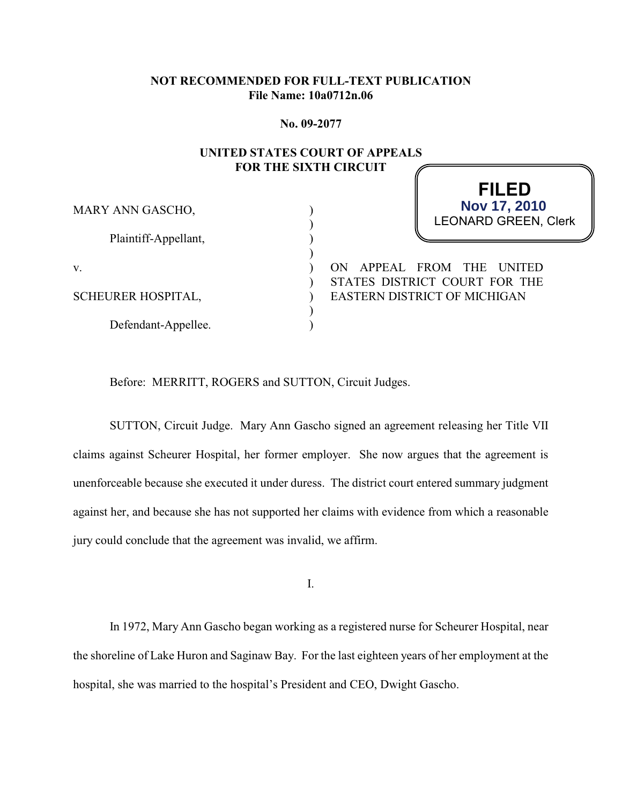#### **NOT RECOMMENDED FOR FULL-TEXT PUBLICATION File Name: 10a0712n.06**

**No. 09-2077**

#### **UNITED STATES COURT OF APPEALS FOR THE SIXTH CIRCUIT**

) ) ) )  $\lambda$  $\mathcal{L}$ ) ) )

MARY ANN GASCHO,

Plaintiff-Appellant,

v.

SCHEURER HOSPITAL,

Defendant-Appellee.

LEONARD GREEN, Clerk

**FILED**

**Nov 17, 2010**

ON APPEAL FROM THE UNITED STATES DISTRICT COURT FOR THE EASTERN DISTRICT OF MICHIGAN

Before: MERRITT, ROGERS and SUTTON, Circuit Judges.

SUTTON, Circuit Judge. Mary Ann Gascho signed an agreement releasing her Title VII claims against Scheurer Hospital, her former employer. She now argues that the agreement is unenforceable because she executed it under duress. The district court entered summary judgment against her, and because she has not supported her claims with evidence from which a reasonable jury could conclude that the agreement was invalid, we affirm.

I.

In 1972, Mary Ann Gascho began working as a registered nurse for Scheurer Hospital, near the shoreline of Lake Huron and Saginaw Bay. For the last eighteen years of her employment at the hospital, she was married to the hospital's President and CEO, Dwight Gascho.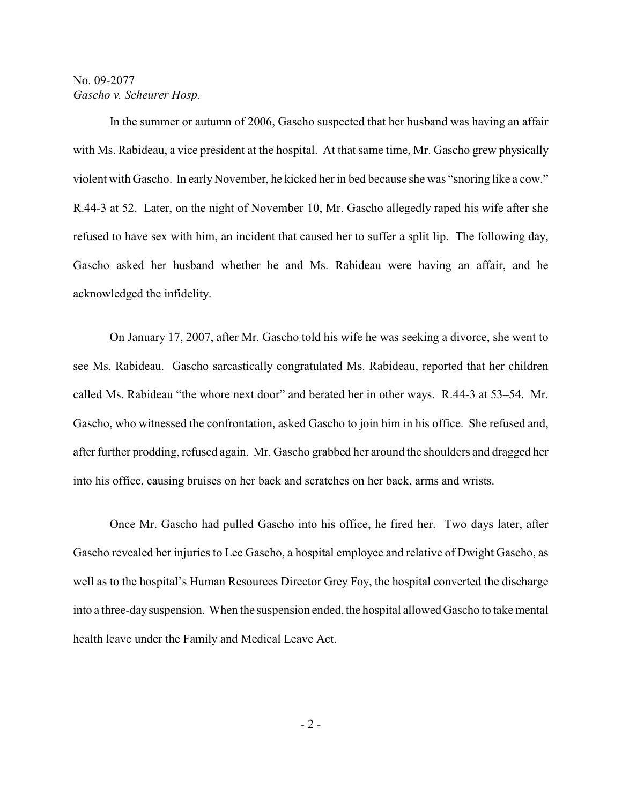In the summer or autumn of 2006, Gascho suspected that her husband was having an affair with Ms. Rabideau, a vice president at the hospital. At that same time, Mr. Gascho grew physically violent with Gascho. In early November, he kicked her in bed because she was "snoring like a cow." R.44-3 at 52. Later, on the night of November 10, Mr. Gascho allegedly raped his wife after she refused to have sex with him, an incident that caused her to suffer a split lip. The following day, Gascho asked her husband whether he and Ms. Rabideau were having an affair, and he acknowledged the infidelity.

On January 17, 2007, after Mr. Gascho told his wife he was seeking a divorce, she went to see Ms. Rabideau. Gascho sarcastically congratulated Ms. Rabideau, reported that her children called Ms. Rabideau "the whore next door" and berated her in other ways. R.44-3 at 53–54. Mr. Gascho, who witnessed the confrontation, asked Gascho to join him in his office. She refused and, after further prodding, refused again. Mr. Gascho grabbed her around the shoulders and dragged her into his office, causing bruises on her back and scratches on her back, arms and wrists.

Once Mr. Gascho had pulled Gascho into his office, he fired her. Two days later, after Gascho revealed her injuries to Lee Gascho, a hospital employee and relative of Dwight Gascho, as well as to the hospital's Human Resources Director Grey Foy, the hospital converted the discharge into a three-day suspension. When the suspension ended, the hospital allowed Gascho to take mental health leave under the Family and Medical Leave Act.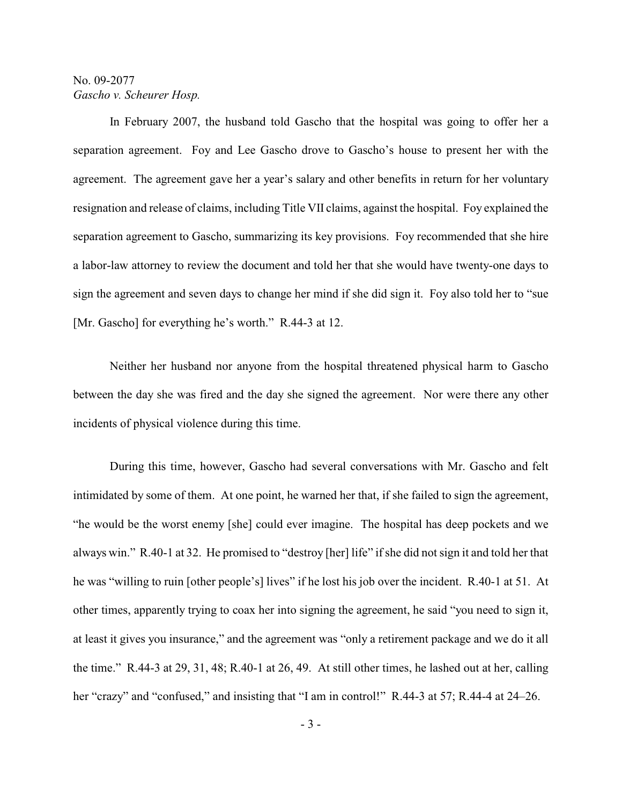In February 2007, the husband told Gascho that the hospital was going to offer her a separation agreement. Foy and Lee Gascho drove to Gascho's house to present her with the agreement. The agreement gave her a year's salary and other benefits in return for her voluntary resignation and release of claims, including Title VII claims, against the hospital. Foy explained the separation agreement to Gascho, summarizing its key provisions. Foy recommended that she hire a labor-law attorney to review the document and told her that she would have twenty-one days to sign the agreement and seven days to change her mind if she did sign it. Foy also told her to "sue [Mr. Gascho] for everything he's worth." R.44-3 at 12.

Neither her husband nor anyone from the hospital threatened physical harm to Gascho between the day she was fired and the day she signed the agreement. Nor were there any other incidents of physical violence during this time.

During this time, however, Gascho had several conversations with Mr. Gascho and felt intimidated by some of them. At one point, he warned her that, if she failed to sign the agreement, "he would be the worst enemy [she] could ever imagine. The hospital has deep pockets and we always win." R.40-1 at 32. He promised to "destroy [her] life" if she did not sign it and told her that he was "willing to ruin [other people's] lives" if he lost his job over the incident. R.40-1 at 51. At other times, apparently trying to coax her into signing the agreement, he said "you need to sign it, at least it gives you insurance," and the agreement was "only a retirement package and we do it all the time." R.44-3 at 29, 31, 48; R.40-1 at 26, 49. At still other times, he lashed out at her, calling her "crazy" and "confused," and insisting that "I am in control!" R.44-3 at 57; R.44-4 at 24–26.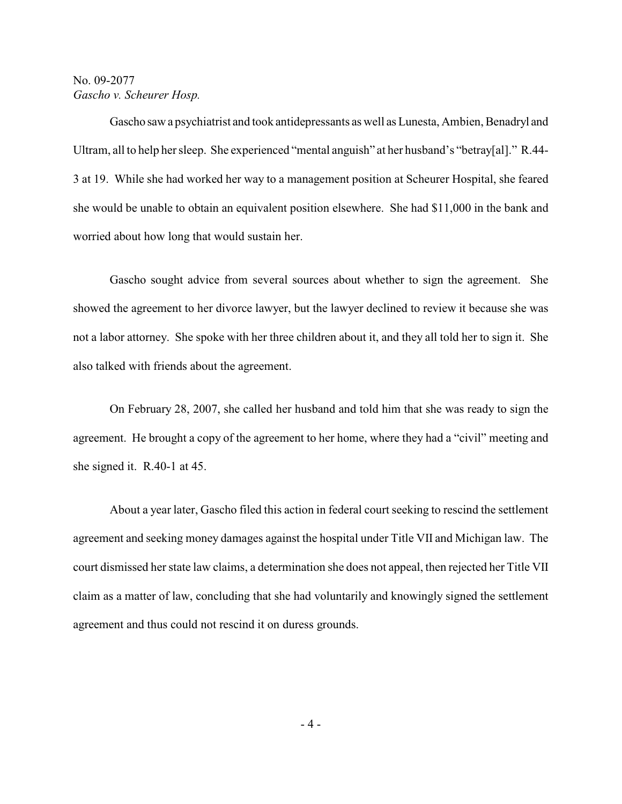Gascho saw a psychiatrist and took antidepressants as well as Lunesta, Ambien, Benadryl and Ultram, all to help her sleep. She experienced "mental anguish" at her husband's "betray[al]." R.44- 3 at 19. While she had worked her way to a management position at Scheurer Hospital, she feared she would be unable to obtain an equivalent position elsewhere. She had \$11,000 in the bank and worried about how long that would sustain her.

Gascho sought advice from several sources about whether to sign the agreement. She showed the agreement to her divorce lawyer, but the lawyer declined to review it because she was not a labor attorney. She spoke with her three children about it, and they all told her to sign it. She also talked with friends about the agreement.

On February 28, 2007, she called her husband and told him that she was ready to sign the agreement. He brought a copy of the agreement to her home, where they had a "civil" meeting and she signed it. R.40-1 at 45.

About a year later, Gascho filed this action in federal court seeking to rescind the settlement agreement and seeking money damages against the hospital under Title VII and Michigan law. The court dismissed her state law claims, a determination she does not appeal, then rejected her Title VII claim as a matter of law, concluding that she had voluntarily and knowingly signed the settlement agreement and thus could not rescind it on duress grounds.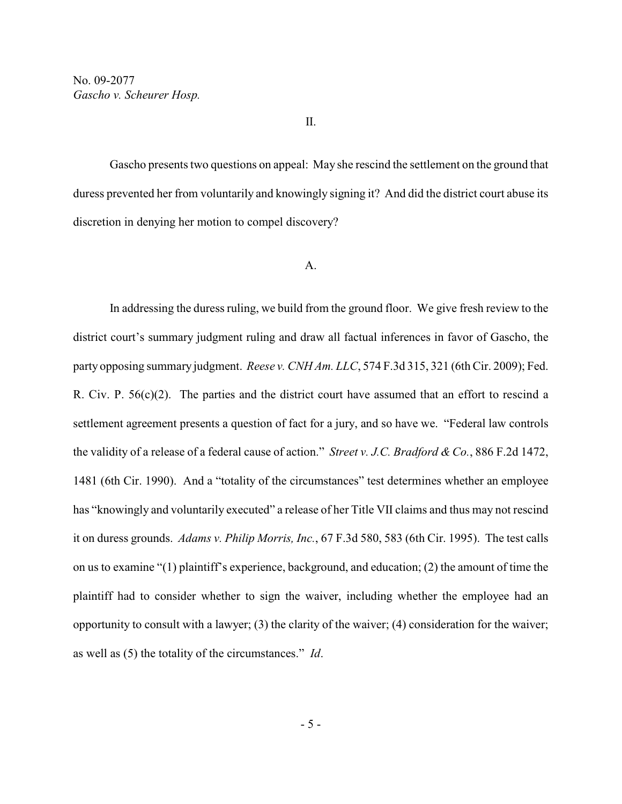Gascho presents two questions on appeal: May she rescind the settlement on the ground that duress prevented her from voluntarily and knowingly signing it? And did the district court abuse its discretion in denying her motion to compel discovery?

#### A.

In addressing the duress ruling, we build from the ground floor. We give fresh review to the district court's summary judgment ruling and draw all factual inferences in favor of Gascho, the party opposing summary judgment. *Reese v. CNH Am. LLC*, 574 F.3d 315, 321 (6th Cir. 2009); Fed. R. Civ. P. 56(c)(2). The parties and the district court have assumed that an effort to rescind a settlement agreement presents a question of fact for a jury, and so have we. "Federal law controls the validity of a release of a federal cause of action." *Street v. J.C. Bradford & Co.*, 886 F.2d 1472, 1481 (6th Cir. 1990). And a "totality of the circumstances" test determines whether an employee has "knowingly and voluntarily executed" a release of her Title VII claims and thus may not rescind it on duress grounds. *Adams v. Philip Morris, Inc.*, 67 F.3d 580, 583 (6th Cir. 1995). The test calls on us to examine "(1) plaintiff's experience, background, and education; (2) the amount of time the plaintiff had to consider whether to sign the waiver, including whether the employee had an opportunity to consult with a lawyer; (3) the clarity of the waiver; (4) consideration for the waiver; as well as (5) the totality of the circumstances." *Id*.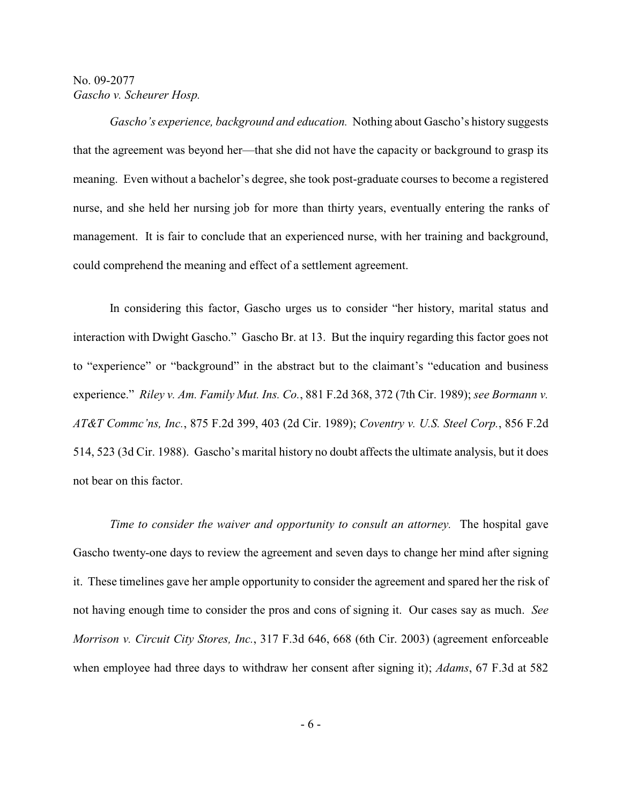*Gascho's experience, background and education.* Nothing about Gascho's history suggests that the agreement was beyond her—that she did not have the capacity or background to grasp its meaning. Even without a bachelor's degree, she took post-graduate courses to become a registered nurse, and she held her nursing job for more than thirty years, eventually entering the ranks of management. It is fair to conclude that an experienced nurse, with her training and background, could comprehend the meaning and effect of a settlement agreement.

In considering this factor, Gascho urges us to consider "her history, marital status and interaction with Dwight Gascho." Gascho Br. at 13. But the inquiry regarding this factor goes not to "experience" or "background" in the abstract but to the claimant's "education and business experience." *Riley v. Am. Family Mut. Ins. Co.*, 881 F.2d 368, 372 (7th Cir. 1989); *see Bormann v. AT&T Commc'ns, Inc.*, 875 F.2d 399, 403 (2d Cir. 1989); *Coventry v. U.S. Steel Corp.*, 856 F.2d 514, 523 (3d Cir. 1988). Gascho's marital history no doubt affects the ultimate analysis, but it does not bear on this factor.

*Time to consider the waiver and opportunity to consult an attorney.* The hospital gave Gascho twenty-one days to review the agreement and seven days to change her mind after signing it. These timelines gave her ample opportunity to consider the agreement and spared her the risk of not having enough time to consider the pros and cons of signing it. Our cases say as much. *See Morrison v. Circuit City Stores, Inc.*, 317 F.3d 646, 668 (6th Cir. 2003) (agreement enforceable when employee had three days to withdraw her consent after signing it); *Adams*, 67 F.3d at 582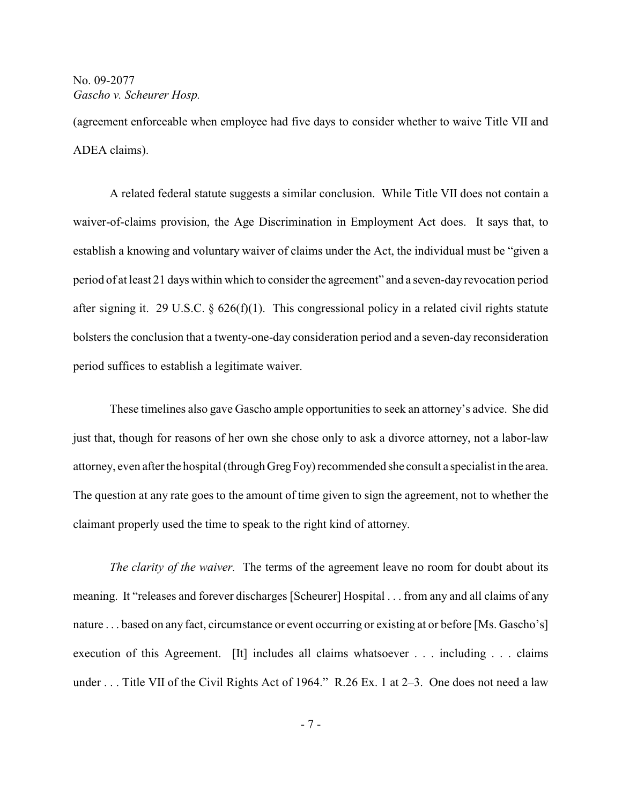(agreement enforceable when employee had five days to consider whether to waive Title VII and ADEA claims).

A related federal statute suggests a similar conclusion. While Title VII does not contain a waiver-of-claims provision, the Age Discrimination in Employment Act does. It says that, to establish a knowing and voluntary waiver of claims under the Act, the individual must be "given a period of at least 21 days within which to consider the agreement" and a seven-day revocation period after signing it. 29 U.S.C. § 626(f)(1). This congressional policy in a related civil rights statute bolsters the conclusion that a twenty-one-day consideration period and a seven-day reconsideration period suffices to establish a legitimate waiver.

These timelines also gave Gascho ample opportunities to seek an attorney's advice. She did just that, though for reasons of her own she chose only to ask a divorce attorney, not a labor-law attorney, even after the hospital (through Greg Foy) recommended she consult a specialist in the area. The question at any rate goes to the amount of time given to sign the agreement, not to whether the claimant properly used the time to speak to the right kind of attorney.

*The clarity of the waiver.* The terms of the agreement leave no room for doubt about its meaning. It "releases and forever discharges [Scheurer] Hospital . . . from any and all claims of any nature . . . based on any fact, circumstance or event occurring or existing at or before [Ms. Gascho's] execution of this Agreement. [It] includes all claims whatsoever . . . including . . . claims under . . . Title VII of the Civil Rights Act of 1964." R.26 Ex. 1 at 2-3. One does not need a law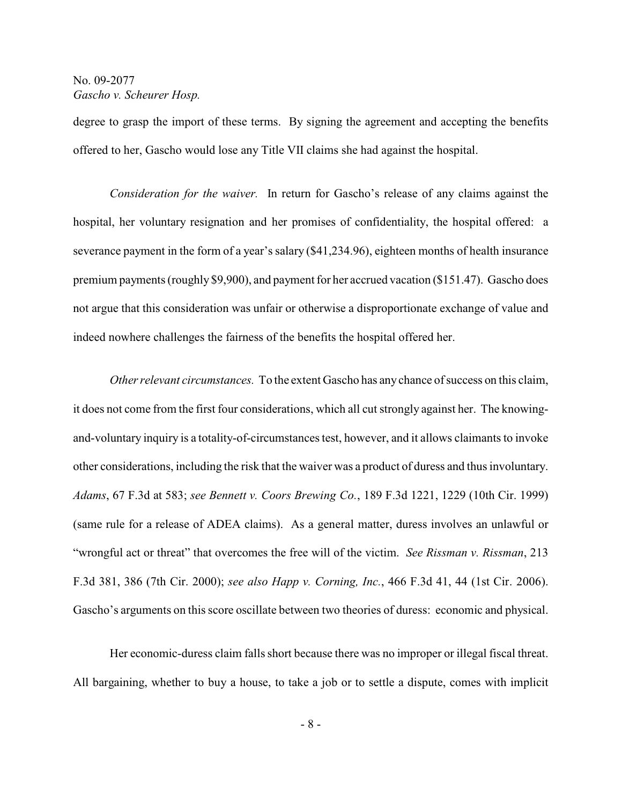degree to grasp the import of these terms. By signing the agreement and accepting the benefits offered to her, Gascho would lose any Title VII claims she had against the hospital.

*Consideration for the waiver.* In return for Gascho's release of any claims against the hospital, her voluntary resignation and her promises of confidentiality, the hospital offered: a severance payment in the form of a year's salary (\$41,234.96), eighteen months of health insurance premium payments (roughly \$9,900), and payment for her accrued vacation (\$151.47). Gascho does not argue that this consideration was unfair or otherwise a disproportionate exchange of value and indeed nowhere challenges the fairness of the benefits the hospital offered her.

*Other relevant circumstances.* To the extent Gascho has any chance of success on this claim, it does not come from the first four considerations, which all cut strongly against her. The knowingand-voluntary inquiry is a totality-of-circumstances test, however, and it allows claimants to invoke other considerations, including the risk that the waiver was a product of duress and thus involuntary. *Adams*, 67 F.3d at 583; *see Bennett v. Coors Brewing Co.*, 189 F.3d 1221, 1229 (10th Cir. 1999) (same rule for a release of ADEA claims). As a general matter, duress involves an unlawful or "wrongful act or threat" that overcomes the free will of the victim. *See Rissman v. Rissman*, 213 F.3d 381, 386 (7th Cir. 2000); *see also Happ v. Corning, Inc.*, 466 F.3d 41, 44 (1st Cir. 2006). Gascho's arguments on this score oscillate between two theories of duress: economic and physical.

Her economic-duress claim falls short because there was no improper or illegal fiscal threat. All bargaining, whether to buy a house, to take a job or to settle a dispute, comes with implicit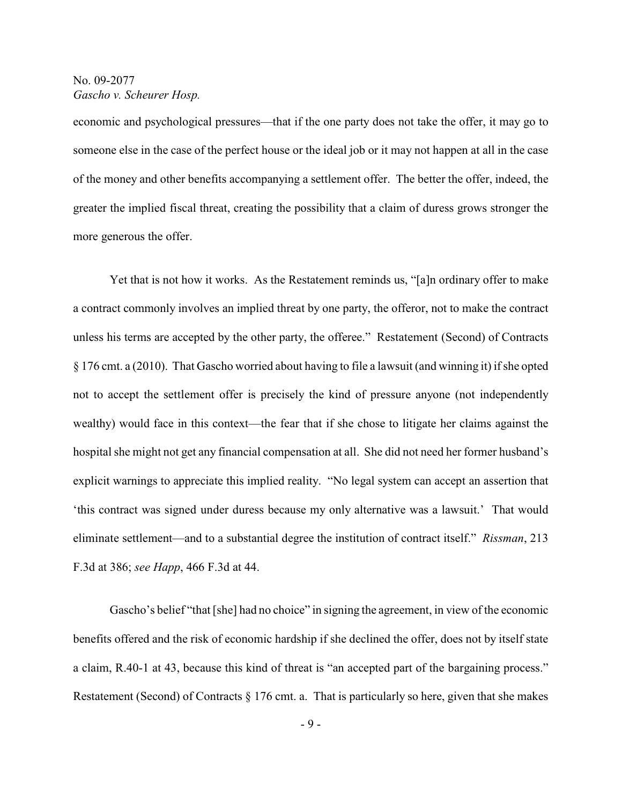economic and psychological pressures—that if the one party does not take the offer, it may go to someone else in the case of the perfect house or the ideal job or it may not happen at all in the case of the money and other benefits accompanying a settlement offer. The better the offer, indeed, the greater the implied fiscal threat, creating the possibility that a claim of duress grows stronger the more generous the offer.

Yet that is not how it works. As the Restatement reminds us, "[a]n ordinary offer to make a contract commonly involves an implied threat by one party, the offeror, not to make the contract unless his terms are accepted by the other party, the offeree." Restatement (Second) of Contracts § 176 cmt. a (2010). That Gascho worried about having to file a lawsuit (and winning it) if she opted not to accept the settlement offer is precisely the kind of pressure anyone (not independently wealthy) would face in this context—the fear that if she chose to litigate her claims against the hospital she might not get any financial compensation at all. She did not need her former husband's explicit warnings to appreciate this implied reality. "No legal system can accept an assertion that 'this contract was signed under duress because my only alternative was a lawsuit.' That would eliminate settlement—and to a substantial degree the institution of contract itself." *Rissman*, 213 F.3d at 386; *see Happ*, 466 F.3d at 44.

Gascho's belief "that [she] had no choice" in signing the agreement, in view of the economic benefits offered and the risk of economic hardship if she declined the offer, does not by itself state a claim, R.40-1 at 43, because this kind of threat is "an accepted part of the bargaining process." Restatement (Second) of Contracts  $\S 176$  cmt. a. That is particularly so here, given that she makes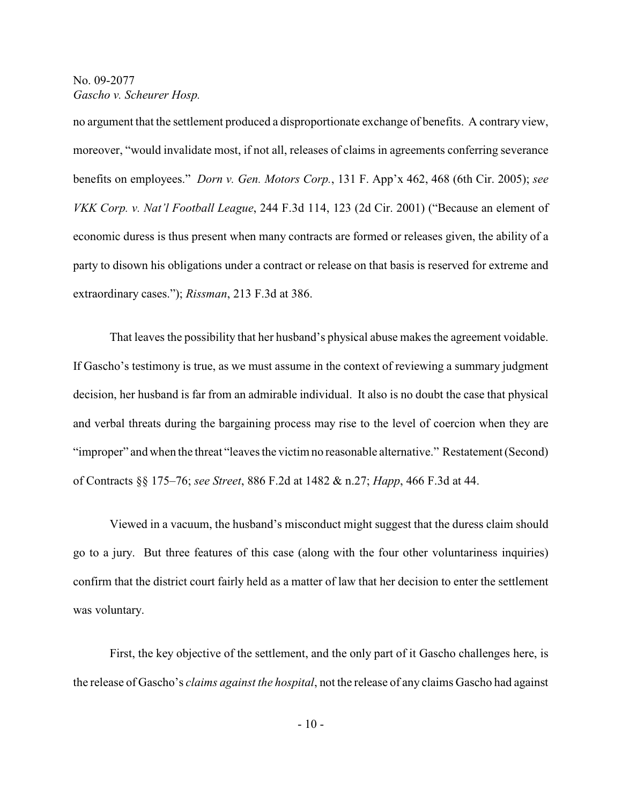no argument that the settlement produced a disproportionate exchange of benefits. A contrary view, moreover, "would invalidate most, if not all, releases of claims in agreements conferring severance benefits on employees." *Dorn v. Gen. Motors Corp.*, 131 F. App'x 462, 468 (6th Cir. 2005); *see VKK Corp. v. Nat'l Football League*, 244 F.3d 114, 123 (2d Cir. 2001) ("Because an element of economic duress is thus present when many contracts are formed or releases given, the ability of a party to disown his obligations under a contract or release on that basis is reserved for extreme and extraordinary cases."); *Rissman*, 213 F.3d at 386.

That leaves the possibility that her husband's physical abuse makes the agreement voidable. If Gascho's testimony is true, as we must assume in the context of reviewing a summary judgment decision, her husband is far from an admirable individual. It also is no doubt the case that physical and verbal threats during the bargaining process may rise to the level of coercion when they are "improper" and when the threat "leaves the victim no reasonable alternative." Restatement (Second) of Contracts §§ 175–76; *see Street*, 886 F.2d at 1482 & n.27; *Happ*, 466 F.3d at 44.

Viewed in a vacuum, the husband's misconduct might suggest that the duress claim should go to a jury. But three features of this case (along with the four other voluntariness inquiries) confirm that the district court fairly held as a matter of law that her decision to enter the settlement was voluntary.

First, the key objective of the settlement, and the only part of it Gascho challenges here, is the release of Gascho's *claims against the hospital*, not the release of any claims Gascho had against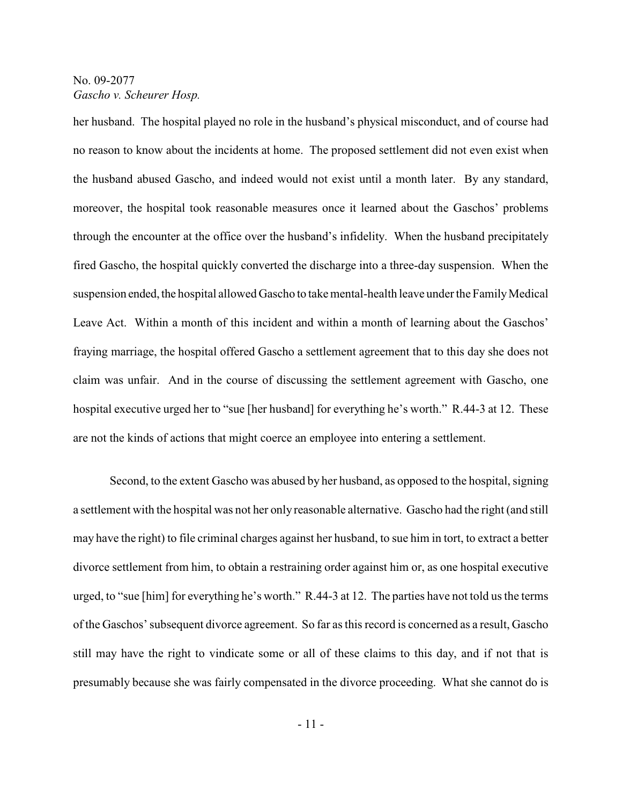her husband. The hospital played no role in the husband's physical misconduct, and of course had no reason to know about the incidents at home. The proposed settlement did not even exist when the husband abused Gascho, and indeed would not exist until a month later. By any standard, moreover, the hospital took reasonable measures once it learned about the Gaschos' problems through the encounter at the office over the husband's infidelity. When the husband precipitately fired Gascho, the hospital quickly converted the discharge into a three-day suspension. When the suspension ended, the hospital allowed Gascho to take mental-health leave under the Family Medical Leave Act. Within a month of this incident and within a month of learning about the Gaschos' fraying marriage, the hospital offered Gascho a settlement agreement that to this day she does not claim was unfair. And in the course of discussing the settlement agreement with Gascho, one hospital executive urged her to "sue [her husband] for everything he's worth." R.44-3 at 12. These are not the kinds of actions that might coerce an employee into entering a settlement.

Second, to the extent Gascho was abused by her husband, as opposed to the hospital, signing a settlement with the hospital was not her only reasonable alternative. Gascho had the right (and still may have the right) to file criminal charges against her husband, to sue him in tort, to extract a better divorce settlement from him, to obtain a restraining order against him or, as one hospital executive urged, to "sue [him] for everything he's worth." R.44-3 at 12. The parties have not told usthe terms of the Gaschos' subsequent divorce agreement. So far as this record is concerned as a result, Gascho still may have the right to vindicate some or all of these claims to this day, and if not that is presumably because she was fairly compensated in the divorce proceeding. What she cannot do is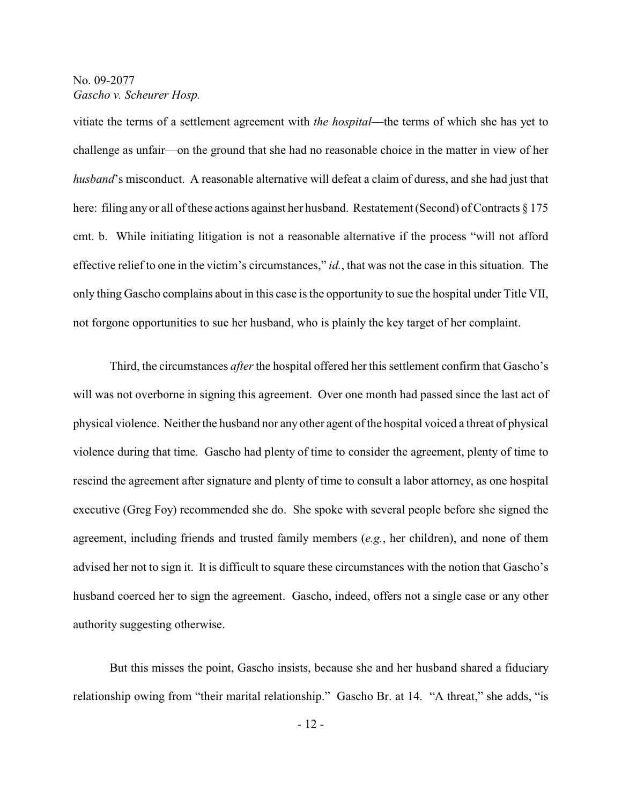vitiate the terms of a settlement agreement with *the hospital*—the terms of which she has yet to challenge as unfair—on the ground that she had no reasonable choice in the matter in view of her *husband*'s misconduct. A reasonable alternative will defeat a claim of duress, and she had just that here: filing any or all of these actions against her husband. Restatement (Second) of Contracts  $\S 175$ cmt. b. While initiating litigation is not a reasonable alternative if the process "will not afford effective relief to one in the victim's circumstances," *id.*, that was not the case in this situation. The only thing Gascho complains about in this case isthe opportunity to sue the hospital under Title VII, not forgone opportunities to sue her husband, who is plainly the key target of her complaint.

Third, the circumstances *after*the hospital offered her this settlement confirm that Gascho's will was not overborne in signing this agreement. Over one month had passed since the last act of physical violence. Neither the husband nor any other agent of the hospital voiced a threat of physical violence during that time. Gascho had plenty of time to consider the agreement, plenty of time to rescind the agreement after signature and plenty of time to consult a labor attorney, as one hospital executive (Greg Foy) recommended she do. She spoke with several people before she signed the agreement, including friends and trusted family members (*e.g.*, her children), and none of them advised her not to sign it. It is difficult to square these circumstances with the notion that Gascho's husband coerced her to sign the agreement. Gascho, indeed, offers not a single case or any other authority suggesting otherwise.

But this misses the point, Gascho insists, because she and her husband shared a fiduciary relationship owing from "their marital relationship." Gascho Br. at 14. "A threat," she adds, "is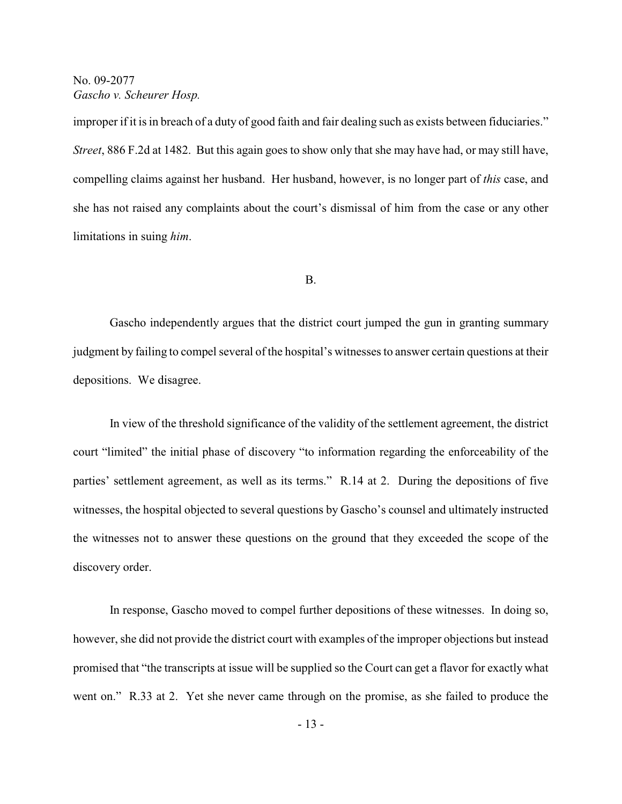improper if it is in breach of a duty of good faith and fair dealing such as exists between fiduciaries." *Street*, 886 F.2d at 1482. But this again goes to show only that she may have had, or may still have, compelling claims against her husband. Her husband, however, is no longer part of *this* case, and she has not raised any complaints about the court's dismissal of him from the case or any other limitations in suing *him*.

#### B.

Gascho independently argues that the district court jumped the gun in granting summary judgment by failing to compel several of the hospital's witnesses to answer certain questions at their depositions. We disagree.

In view of the threshold significance of the validity of the settlement agreement, the district court "limited" the initial phase of discovery "to information regarding the enforceability of the parties' settlement agreement, as well as its terms." R.14 at 2. During the depositions of five witnesses, the hospital objected to several questions by Gascho's counsel and ultimately instructed the witnesses not to answer these questions on the ground that they exceeded the scope of the discovery order.

In response, Gascho moved to compel further depositions of these witnesses. In doing so, however, she did not provide the district court with examples of the improper objections but instead promised that "the transcripts at issue will be supplied so the Court can get a flavor for exactly what went on." R.33 at 2. Yet she never came through on the promise, as she failed to produce the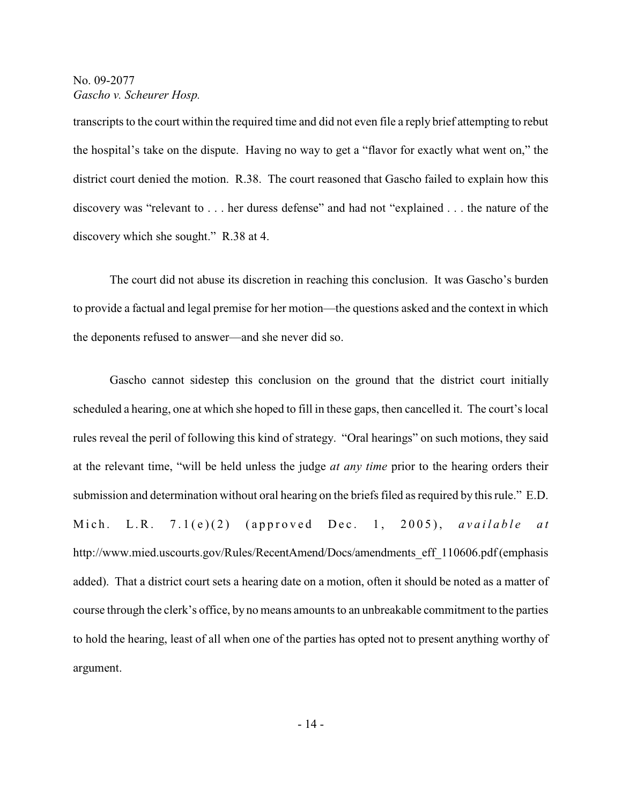transcripts to the court within the required time and did not even file a reply brief attempting to rebut the hospital's take on the dispute. Having no way to get a "flavor for exactly what went on," the district court denied the motion. R.38. The court reasoned that Gascho failed to explain how this discovery was "relevant to . . . her duress defense" and had not "explained . . . the nature of the discovery which she sought." R.38 at 4.

The court did not abuse its discretion in reaching this conclusion. It was Gascho's burden to provide a factual and legal premise for her motion—the questions asked and the context in which the deponents refused to answer—and she never did so.

Gascho cannot sidestep this conclusion on the ground that the district court initially scheduled a hearing, one at which she hoped to fill in these gaps, then cancelled it. The court's local rules reveal the peril of following this kind of strategy. "Oral hearings" on such motions, they said at the relevant time, "will be held unless the judge *at any time* prior to the hearing orders their submission and determination without oral hearing on the briefs filed as required by this rule." E.D. Mich. L.R.  $7.1(e)(2)$  (approved Dec. 1, 2005), *available at* http://www.mied.uscourts.gov/Rules/RecentAmend/Docs/amendments\_eff\_110606.pdf (emphasis added). That a district court sets a hearing date on a motion, often it should be noted as a matter of course through the clerk's office, by no means amounts to an unbreakable commitment to the parties to hold the hearing, least of all when one of the parties has opted not to present anything worthy of argument.